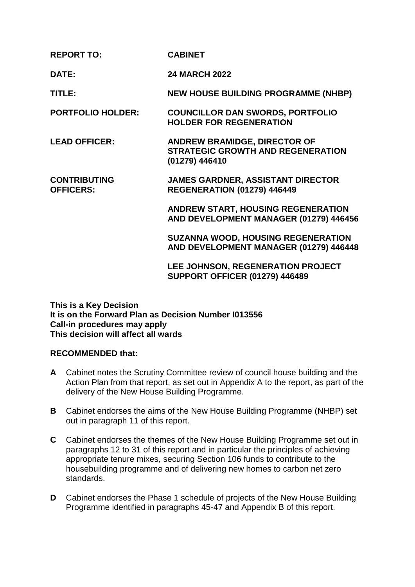| <b>REPORT TO:</b>                       | <b>CABINET</b>                                                                                    |
|-----------------------------------------|---------------------------------------------------------------------------------------------------|
| DATE:                                   | <b>24 MARCH 2022</b>                                                                              |
| TITLE:                                  | <b>NEW HOUSE BUILDING PROGRAMME (NHBP)</b>                                                        |
| <b>PORTFOLIO HOLDER:</b>                | <b>COUNCILLOR DAN SWORDS, PORTFOLIO</b><br><b>HOLDER FOR REGENERATION</b>                         |
| <b>LEAD OFFICER:</b>                    | <b>ANDREW BRAMIDGE, DIRECTOR OF</b><br><b>STRATEGIC GROWTH AND REGENERATION</b><br>(01279) 446410 |
| <b>CONTRIBUTING</b><br><b>OFFICERS:</b> | <b>JAMES GARDNER, ASSISTANT DIRECTOR</b><br><b>REGENERATION (01279) 446449</b>                    |
|                                         | <b>ANDREW START, HOUSING REGENERATION</b><br>AND DEVELOPMENT MANAGER (01279) 446456               |
|                                         | <b>SUZANNA WOOD, HOUSING REGENERATION</b><br>AND DEVELOPMENT MANAGER (01279) 446448               |
|                                         | LEE JOHNSON, REGENERATION PROJECT<br><b>SUPPORT OFFICER (01279) 446489</b>                        |

**This is a Key Decision It is on the Forward Plan as Decision Number I013556 Call-in procedures may apply This decision will affect all wards** 

### **RECOMMENDED that:**

- **A** Cabinet notes the Scrutiny Committee review of council house building and the Action Plan from that report, as set out in Appendix A to the report, as part of the delivery of the New House Building Programme.
- **B** Cabinet endorses the aims of the New House Building Programme (NHBP) set out in paragraph 11 of this report.
- **C** Cabinet endorses the themes of the New House Building Programme set out in paragraphs 12 to 31 of this report and in particular the principles of achieving appropriate tenure mixes, securing Section 106 funds to contribute to the housebuilding programme and of delivering new homes to carbon net zero standards.
- **D** Cabinet endorses the Phase 1 schedule of projects of the New House Building Programme identified in paragraphs 45-47 and Appendix B of this report.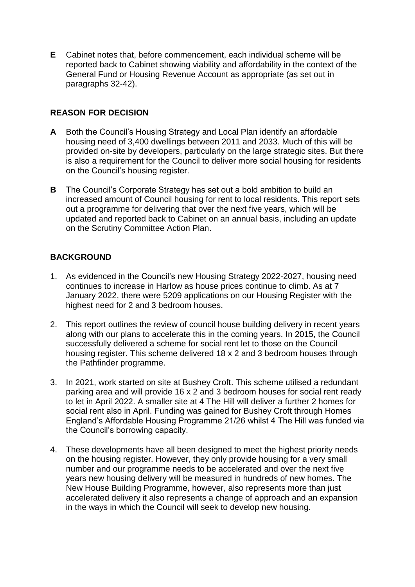**E** Cabinet notes that, before commencement, each individual scheme will be reported back to Cabinet showing viability and affordability in the context of the General Fund or Housing Revenue Account as appropriate (as set out in paragraphs 32-42).

# **REASON FOR DECISION**

- **A** Both the Council's Housing Strategy and Local Plan identify an affordable housing need of 3,400 dwellings between 2011 and 2033. Much of this will be provided on-site by developers, particularly on the large strategic sites. But there is also a requirement for the Council to deliver more social housing for residents on the Council's housing register.
- **B** The Council's Corporate Strategy has set out a bold ambition to build an increased amount of Council housing for rent to local residents. This report sets out a programme for delivering that over the next five years, which will be updated and reported back to Cabinet on an annual basis, including an update on the Scrutiny Committee Action Plan.

## **BACKGROUND**

- 1. As evidenced in the Council's new Housing Strategy 2022-2027, housing need continues to increase in Harlow as house prices continue to climb. As at 7 January 2022, there were 5209 applications on our Housing Register with the highest need for 2 and 3 bedroom houses.
- 2. This report outlines the review of council house building delivery in recent years along with our plans to accelerate this in the coming years. In 2015, the Council successfully delivered a scheme for social rent let to those on the Council housing register. This scheme delivered 18 x 2 and 3 bedroom houses through the Pathfinder programme.
- 3. In 2021, work started on site at Bushey Croft. This scheme utilised a redundant parking area and will provide 16 x 2 and 3 bedroom houses for social rent ready to let in April 2022. A smaller site at 4 The Hill will deliver a further 2 homes for social rent also in April. Funding was gained for Bushey Croft through Homes England's Affordable Housing Programme 21/26 whilst 4 The Hill was funded via the Council's borrowing capacity.
- 4. These developments have all been designed to meet the highest priority needs on the housing register. However, they only provide housing for a very small number and our programme needs to be accelerated and over the next five years new housing delivery will be measured in hundreds of new homes. The New House Building Programme, however, also represents more than just accelerated delivery it also represents a change of approach and an expansion in the ways in which the Council will seek to develop new housing.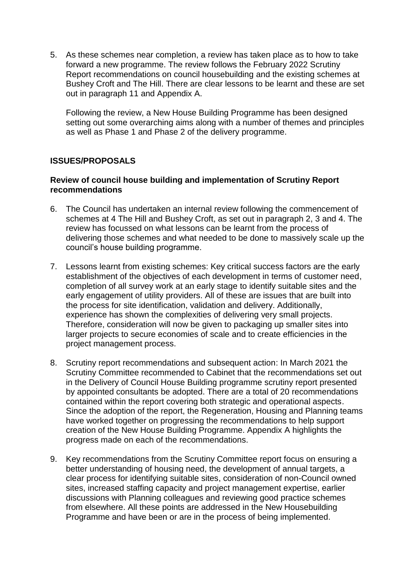5. As these schemes near completion, a review has taken place as to how to take forward a new programme. The review follows the February 2022 Scrutiny Report recommendations on council housebuilding and the existing schemes at Bushey Croft and The Hill. There are clear lessons to be learnt and these are set out in paragraph 11 and Appendix A.

Following the review, a New House Building Programme has been designed setting out some overarching aims along with a number of themes and principles as well as Phase 1 and Phase 2 of the delivery programme.

### **ISSUES/PROPOSALS**

### **Review of council house building and implementation of Scrutiny Report recommendations**

- 6. The Council has undertaken an internal review following the commencement of schemes at 4 The Hill and Bushey Croft, as set out in paragraph 2, 3 and 4. The review has focussed on what lessons can be learnt from the process of delivering those schemes and what needed to be done to massively scale up the council's house building programme.
- 7. Lessons learnt from existing schemes: Key critical success factors are the early establishment of the objectives of each development in terms of customer need, completion of all survey work at an early stage to identify suitable sites and the early engagement of utility providers. All of these are issues that are built into the process for site identification, validation and delivery. Additionally, experience has shown the complexities of delivering very small projects. Therefore, consideration will now be given to packaging up smaller sites into larger projects to secure economies of scale and to create efficiencies in the project management process.
- 8. Scrutiny report recommendations and subsequent action: In March 2021 the Scrutiny Committee recommended to Cabinet that the recommendations set out in the Delivery of Council House Building programme scrutiny report presented by appointed consultants be adopted. There are a total of 20 recommendations contained within the report covering both strategic and operational aspects. Since the adoption of the report, the Regeneration, Housing and Planning teams have worked together on progressing the recommendations to help support creation of the New House Building Programme. Appendix A highlights the progress made on each of the recommendations.
- 9. Key recommendations from the Scrutiny Committee report focus on ensuring a better understanding of housing need, the development of annual targets, a clear process for identifying suitable sites, consideration of non-Council owned sites, increased staffing capacity and project management expertise, earlier discussions with Planning colleagues and reviewing good practice schemes from elsewhere. All these points are addressed in the New Housebuilding Programme and have been or are in the process of being implemented.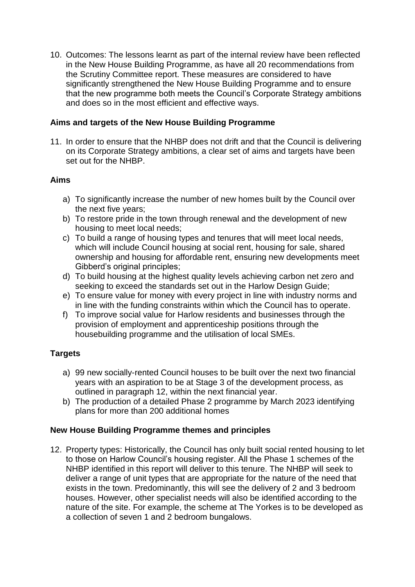10. Outcomes: The lessons learnt as part of the internal review have been reflected in the New House Building Programme, as have all 20 recommendations from the Scrutiny Committee report. These measures are considered to have significantly strengthened the New House Building Programme and to ensure that the new programme both meets the Council's Corporate Strategy ambitions and does so in the most efficient and effective ways.

## **Aims and targets of the New House Building Programme**

11. In order to ensure that the NHBP does not drift and that the Council is delivering on its Corporate Strategy ambitions, a clear set of aims and targets have been set out for the NHBP.

## **Aims**

- a) To significantly increase the number of new homes built by the Council over the next five years;
- b) To restore pride in the town through renewal and the development of new housing to meet local needs;
- c) To build a range of housing types and tenures that will meet local needs, which will include Council housing at social rent, housing for sale, shared ownership and housing for affordable rent, ensuring new developments meet Gibberd's original principles;
- d) To build housing at the highest quality levels achieving carbon net zero and seeking to exceed the standards set out in the Harlow Design Guide;
- e) To ensure value for money with every project in line with industry norms and in line with the funding constraints within which the Council has to operate.
- f) To improve social value for Harlow residents and businesses through the provision of employment and apprenticeship positions through the housebuilding programme and the utilisation of local SMEs.

# **Targets**

- a) 99 new socially-rented Council houses to be built over the next two financial years with an aspiration to be at Stage 3 of the development process, as outlined in paragraph 12, within the next financial year.
- b) The production of a detailed Phase 2 programme by March 2023 identifying plans for more than 200 additional homes

# **New House Building Programme themes and principles**

12. Property types: Historically, the Council has only built social rented housing to let to those on Harlow Council's housing register. All the Phase 1 schemes of the NHBP identified in this report will deliver to this tenure. The NHBP will seek to deliver a range of unit types that are appropriate for the nature of the need that exists in the town. Predominantly, this will see the delivery of 2 and 3 bedroom houses. However, other specialist needs will also be identified according to the nature of the site. For example, the scheme at The Yorkes is to be developed as a collection of seven 1 and 2 bedroom bungalows.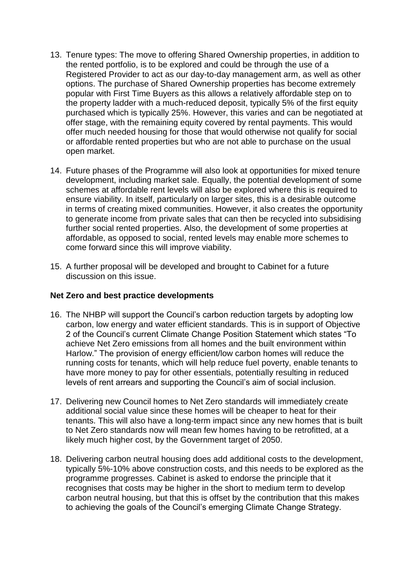- 13. Tenure types: The move to offering Shared Ownership properties, in addition to the rented portfolio, is to be explored and could be through the use of a Registered Provider to act as our day-to-day management arm, as well as other options. The purchase of Shared Ownership properties has become extremely popular with First Time Buyers as this allows a relatively affordable step on to the property ladder with a much-reduced deposit, typically 5% of the first equity purchased which is typically 25%. However, this varies and can be negotiated at offer stage, with the remaining equity covered by rental payments. This would offer much needed housing for those that would otherwise not qualify for social or affordable rented properties but who are not able to purchase on the usual open market.
- 14. Future phases of the Programme will also look at opportunities for mixed tenure development, including market sale. Equally, the potential development of some schemes at affordable rent levels will also be explored where this is required to ensure viability. In itself, particularly on larger sites, this is a desirable outcome in terms of creating mixed communities. However, it also creates the opportunity to generate income from private sales that can then be recycled into subsidising further social rented properties. Also, the development of some properties at affordable, as opposed to social, rented levels may enable more schemes to come forward since this will improve viability.
- 15. A further proposal will be developed and brought to Cabinet for a future discussion on this issue.

### **Net Zero and best practice developments**

- 16. The NHBP will support the Council's carbon reduction targets by adopting low carbon, low energy and water efficient standards. This is in support of Objective 2 of the Council's current Climate Change Position Statement which states "To achieve Net Zero emissions from all homes and the built environment within Harlow." The provision of energy efficient/low carbon homes will reduce the running costs for tenants, which will help reduce fuel poverty, enable tenants to have more money to pay for other essentials, potentially resulting in reduced levels of rent arrears and supporting the Council's aim of social inclusion.
- 17. Delivering new Council homes to Net Zero standards will immediately create additional social value since these homes will be cheaper to heat for their tenants. This will also have a long-term impact since any new homes that is built to Net Zero standards now will mean few homes having to be retrofitted, at a likely much higher cost, by the Government target of 2050.
- 18. Delivering carbon neutral housing does add additional costs to the development, typically 5%-10% above construction costs, and this needs to be explored as the programme progresses. Cabinet is asked to endorse the principle that it recognises that costs may be higher in the short to medium term to develop carbon neutral housing, but that this is offset by the contribution that this makes to achieving the goals of the Council's emerging Climate Change Strategy.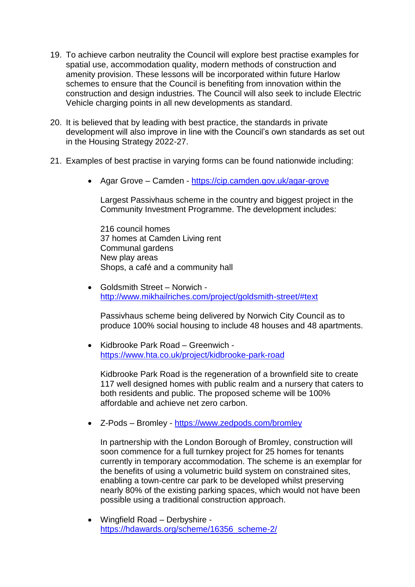- 19. To achieve carbon neutrality the Council will explore best practise examples for spatial use, accommodation quality, modern methods of construction and amenity provision. These lessons will be incorporated within future Harlow schemes to ensure that the Council is benefiting from innovation within the construction and design industries. The Council will also seek to include Electric Vehicle charging points in all new developments as standard.
- 20. It is believed that by leading with best practice, the standards in private development will also improve in line with the Council's own standards as set out in the Housing Strategy 2022-27.
- 21. Examples of best practise in varying forms can be found nationwide including:
	- Agar Grove Camden <https://cip.camden.gov.uk/agar-grove>

Largest Passivhaus scheme in the country and biggest project in the Community Investment Programme. The development includes:

216 council homes 37 homes at Camden Living rent Communal gardens New play areas Shops, a café and a community hall

 Goldsmith Street – Norwich <http://www.mikhailriches.com/project/goldsmith-street/#text>

Passivhaus scheme being delivered by Norwich City Council as to produce 100% social housing to include 48 houses and 48 apartments.

 Kidbrooke Park Road – Greenwich <https://www.hta.co.uk/project/kidbrooke-park-road>

Kidbrooke Park Road is the regeneration of a brownfield site to create 117 well designed homes with public realm and a nursery that caters to both residents and public. The proposed scheme will be 100% affordable and achieve net zero carbon.

• Z-Pods – Bromley - <https://www.zedpods.com/bromley>

In partnership with the London Borough of Bromley, construction will soon commence for a full turnkey project for 25 homes for tenants currently in temporary accommodation. The scheme is an exemplar for the benefits of using a volumetric build system on constrained sites, enabling a town-centre car park to be developed whilst preserving nearly 80% of the existing parking spaces, which would not have been possible using a traditional construction approach.

 Wingfield Road – Derbyshire [https://hdawards.org/scheme/16356\\_scheme-2/](https://hdawards.org/scheme/16356_scheme-2/)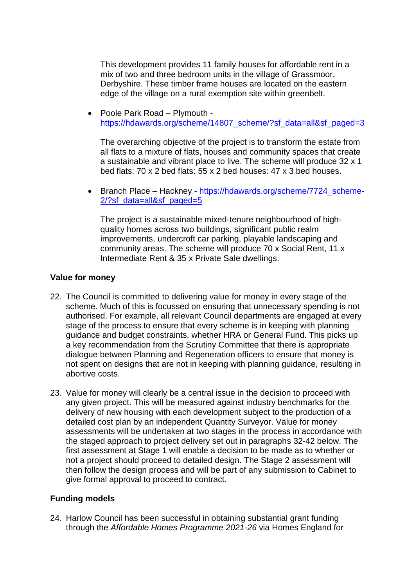This development provides 11 family houses for affordable rent in a mix of two and three bedroom units in the village of Grassmoor, Derbyshire. These timber frame houses are located on the eastern edge of the village on a rural exemption site within greenbelt.

 Poole Park Road – Plymouth [https://hdawards.org/scheme/14807\\_scheme/?sf\\_data=all&sf\\_paged=3](https://hdawards.org/scheme/14807_scheme/?sf_data=all&sf_paged=3)

The overarching objective of the project is to transform the estate from all flats to a mixture of flats, houses and community spaces that create a sustainable and vibrant place to live. The scheme will produce 32 x 1 bed flats: 70 x 2 bed flats: 55 x 2 bed houses: 47 x 3 bed houses.

• Branch Place – Hackney - [https://hdawards.org/scheme/7724\\_scheme-](https://hdawards.org/scheme/7724_scheme-2/?sf_data=all&sf_paged=5)[2/?sf\\_data=all&sf\\_paged=5](https://hdawards.org/scheme/7724_scheme-2/?sf_data=all&sf_paged=5)

The project is a sustainable mixed-tenure neighbourhood of highquality homes across two buildings, significant public realm improvements, undercroft car parking, playable landscaping and community areas. The scheme will produce 70 x Social Rent, 11 x Intermediate Rent & 35 x Private Sale dwellings.

### **Value for money**

- 22. The Council is committed to delivering value for money in every stage of the scheme. Much of this is focussed on ensuring that unnecessary spending is not authorised. For example, all relevant Council departments are engaged at every stage of the process to ensure that every scheme is in keeping with planning guidance and budget constraints, whether HRA or General Fund. This picks up a key recommendation from the Scrutiny Committee that there is appropriate dialogue between Planning and Regeneration officers to ensure that money is not spent on designs that are not in keeping with planning guidance, resulting in abortive costs.
- 23. Value for money will clearly be a central issue in the decision to proceed with any given project. This will be measured against industry benchmarks for the delivery of new housing with each development subject to the production of a detailed cost plan by an independent Quantity Surveyor. Value for money assessments will be undertaken at two stages in the process in accordance with the staged approach to project delivery set out in paragraphs 32-42 below. The first assessment at Stage 1 will enable a decision to be made as to whether or not a project should proceed to detailed design. The Stage 2 assessment will then follow the design process and will be part of any submission to Cabinet to give formal approval to proceed to contract.

# **Funding models**

24. Harlow Council has been successful in obtaining substantial grant funding through the *Affordable Homes Programme 2021-26* via Homes England for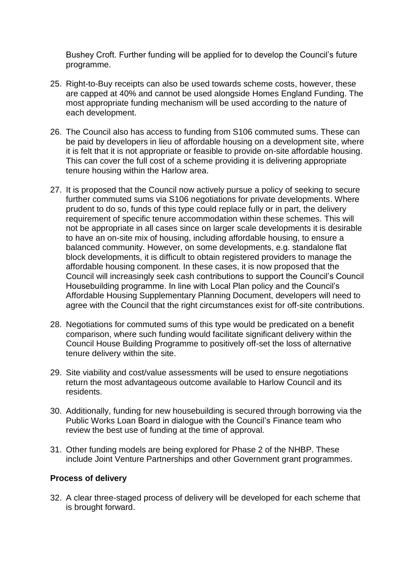Bushey Croft. Further funding will be applied for to develop the Council's future programme.

- 25. Right-to-Buy receipts can also be used towards scheme costs, however, these are capped at 40% and cannot be used alongside Homes England Funding. The most appropriate funding mechanism will be used according to the nature of each development.
- 26. The Council also has access to funding from S106 commuted sums. These can be paid by developers in lieu of affordable housing on a development site, where it is felt that it is not appropriate or feasible to provide on-site affordable housing. This can cover the full cost of a scheme providing it is delivering appropriate tenure housing within the Harlow area.
- 27. It is proposed that the Council now actively pursue a policy of seeking to secure further commuted sums via S106 negotiations for private developments. Where prudent to do so, funds of this type could replace fully or in part, the delivery requirement of specific tenure accommodation within these schemes. This will not be appropriate in all cases since on larger scale developments it is desirable to have an on-site mix of housing, including affordable housing, to ensure a balanced community. However, on some developments, e.g. standalone flat block developments, it is difficult to obtain registered providers to manage the affordable housing component. In these cases, it is now proposed that the Council will increasingly seek cash contributions to support the Council's Council Housebuilding programme. In line with Local Plan policy and the Council's Affordable Housing Supplementary Planning Document, developers will need to agree with the Council that the right circumstances exist for off-site contributions.
- 28. Negotiations for commuted sums of this type would be predicated on a benefit comparison, where such funding would facilitate significant delivery within the Council House Building Programme to positively off-set the loss of alternative tenure delivery within the site.
- 29. Site viability and cost/value assessments will be used to ensure negotiations return the most advantageous outcome available to Harlow Council and its residents.
- 30. Additionally, funding for new housebuilding is secured through borrowing via the Public Works Loan Board in dialogue with the Council's Finance team who review the best use of funding at the time of approval.
- 31. Other funding models are being explored for Phase 2 of the NHBP. These include Joint Venture Partnerships and other Government grant programmes.

### **Process of delivery**

32. A clear three-staged process of delivery will be developed for each scheme that is brought forward.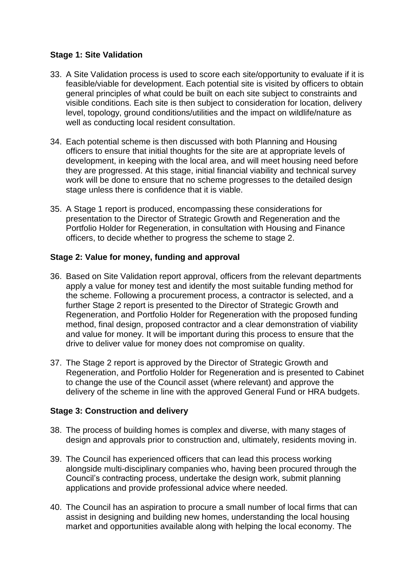## **Stage 1: Site Validation**

- 33. A Site Validation process is used to score each site/opportunity to evaluate if it is feasible/viable for development. Each potential site is visited by officers to obtain general principles of what could be built on each site subject to constraints and visible conditions. Each site is then subject to consideration for location, delivery level, topology, ground conditions/utilities and the impact on wildlife/nature as well as conducting local resident consultation.
- 34. Each potential scheme is then discussed with both Planning and Housing officers to ensure that initial thoughts for the site are at appropriate levels of development, in keeping with the local area, and will meet housing need before they are progressed. At this stage, initial financial viability and technical survey work will be done to ensure that no scheme progresses to the detailed design stage unless there is confidence that it is viable.
- 35. A Stage 1 report is produced, encompassing these considerations for presentation to the Director of Strategic Growth and Regeneration and the Portfolio Holder for Regeneration, in consultation with Housing and Finance officers, to decide whether to progress the scheme to stage 2.

## **Stage 2: Value for money, funding and approval**

- 36. Based on Site Validation report approval, officers from the relevant departments apply a value for money test and identify the most suitable funding method for the scheme. Following a procurement process, a contractor is selected, and a further Stage 2 report is presented to the Director of Strategic Growth and Regeneration, and Portfolio Holder for Regeneration with the proposed funding method, final design, proposed contractor and a clear demonstration of viability and value for money. It will be important during this process to ensure that the drive to deliver value for money does not compromise on quality.
- 37. The Stage 2 report is approved by the Director of Strategic Growth and Regeneration, and Portfolio Holder for Regeneration and is presented to Cabinet to change the use of the Council asset (where relevant) and approve the delivery of the scheme in line with the approved General Fund or HRA budgets.

# **Stage 3: Construction and delivery**

- 38. The process of building homes is complex and diverse, with many stages of design and approvals prior to construction and, ultimately, residents moving in.
- 39. The Council has experienced officers that can lead this process working alongside multi-disciplinary companies who, having been procured through the Council's contracting process, undertake the design work, submit planning applications and provide professional advice where needed.
- 40. The Council has an aspiration to procure a small number of local firms that can assist in designing and building new homes, understanding the local housing market and opportunities available along with helping the local economy. The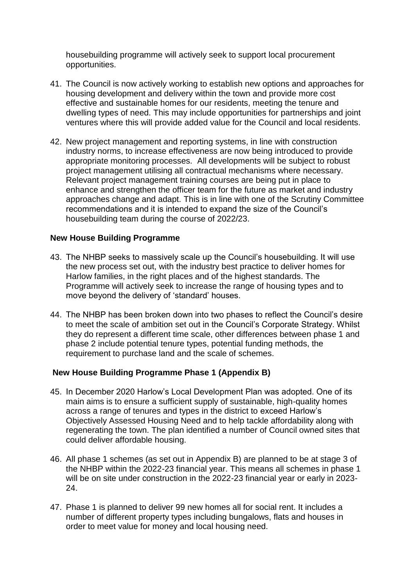housebuilding programme will actively seek to support local procurement opportunities.

- 41. The Council is now actively working to establish new options and approaches for housing development and delivery within the town and provide more cost effective and sustainable homes for our residents, meeting the tenure and dwelling types of need. This may include opportunities for partnerships and joint ventures where this will provide added value for the Council and local residents.
- 42. New project management and reporting systems, in line with construction industry norms, to increase effectiveness are now being introduced to provide appropriate monitoring processes. All developments will be subject to robust project management utilising all contractual mechanisms where necessary. Relevant project management training courses are being put in place to enhance and strengthen the officer team for the future as market and industry approaches change and adapt. This is in line with one of the Scrutiny Committee recommendations and it is intended to expand the size of the Council's housebuilding team during the course of 2022/23.

### **New House Building Programme**

- 43. The NHBP seeks to massively scale up the Council's housebuilding. It will use the new process set out, with the industry best practice to deliver homes for Harlow families, in the right places and of the highest standards. The Programme will actively seek to increase the range of housing types and to move beyond the delivery of 'standard' houses.
- 44. The NHBP has been broken down into two phases to reflect the Council's desire to meet the scale of ambition set out in the Council's Corporate Strategy. Whilst they do represent a different time scale, other differences between phase 1 and phase 2 include potential tenure types, potential funding methods, the requirement to purchase land and the scale of schemes.

#### **New House Building Programme Phase 1 (Appendix B)**

- 45. In December 2020 Harlow's Local Development Plan was adopted. One of its main aims is to ensure a sufficient supply of sustainable, high-quality homes across a range of tenures and types in the district to exceed Harlow's Objectively Assessed Housing Need and to help tackle affordability along with regenerating the town. The plan identified a number of Council owned sites that could deliver affordable housing.
- 46. All phase 1 schemes (as set out in Appendix B) are planned to be at stage 3 of the NHBP within the 2022-23 financial year. This means all schemes in phase 1 will be on site under construction in the 2022-23 financial year or early in 2023- 24.
- 47. Phase 1 is planned to deliver 99 new homes all for social rent. It includes a number of different property types including bungalows, flats and houses in order to meet value for money and local housing need.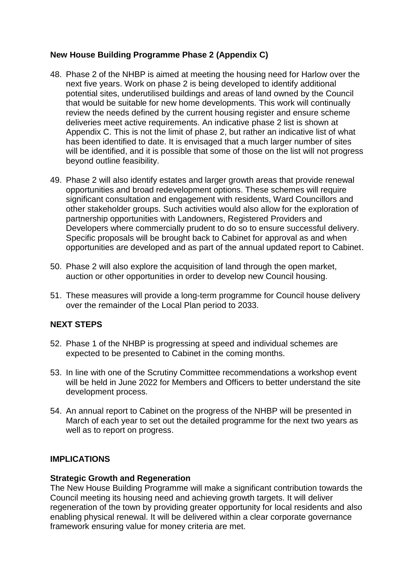# **New House Building Programme Phase 2 (Appendix C)**

- 48. Phase 2 of the NHBP is aimed at meeting the housing need for Harlow over the next five years. Work on phase 2 is being developed to identify additional potential sites, underutilised buildings and areas of land owned by the Council that would be suitable for new home developments. This work will continually review the needs defined by the current housing register and ensure scheme deliveries meet active requirements. An indicative phase 2 list is shown at Appendix C. This is not the limit of phase 2, but rather an indicative list of what has been identified to date. It is envisaged that a much larger number of sites will be identified, and it is possible that some of those on the list will not progress beyond outline feasibility.
- 49. Phase 2 will also identify estates and larger growth areas that provide renewal opportunities and broad redevelopment options. These schemes will require significant consultation and engagement with residents, Ward Councillors and other stakeholder groups. Such activities would also allow for the exploration of partnership opportunities with Landowners, Registered Providers and Developers where commercially prudent to do so to ensure successful delivery. Specific proposals will be brought back to Cabinet for approval as and when opportunities are developed and as part of the annual updated report to Cabinet.
- 50. Phase 2 will also explore the acquisition of land through the open market, auction or other opportunities in order to develop new Council housing.
- 51. These measures will provide a long-term programme for Council house delivery over the remainder of the Local Plan period to 2033.

### **NEXT STEPS**

- 52. Phase 1 of the NHBP is progressing at speed and individual schemes are expected to be presented to Cabinet in the coming months.
- 53. In line with one of the Scrutiny Committee recommendations a workshop event will be held in June 2022 for Members and Officers to better understand the site development process.
- 54. An annual report to Cabinet on the progress of the NHBP will be presented in March of each year to set out the detailed programme for the next two years as well as to report on progress.

### **IMPLICATIONS**

### **Strategic Growth and Regeneration**

The New House Building Programme will make a significant contribution towards the Council meeting its housing need and achieving growth targets. It will deliver regeneration of the town by providing greater opportunity for local residents and also enabling physical renewal. It will be delivered within a clear corporate governance framework ensuring value for money criteria are met.